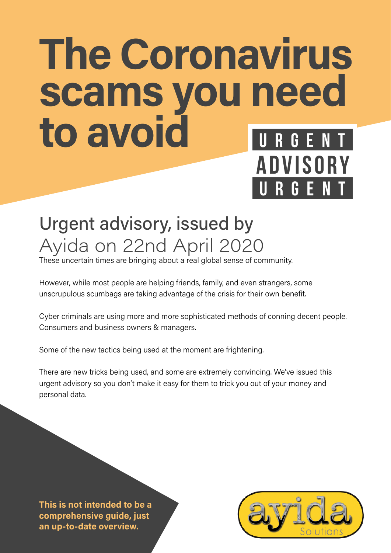### The Coronavirus scams you need to avoid URGENT DVISOR

### Urgent advisory, issued by Ayida on 22nd April 2020

These uncertain times are bringing about a real global sense of community.

However, while most people are helping friends, family, and even strangers, some unscrupulous scumbags are taking advantage of the crisis for their own benefit.

Cyber criminals are using more and more sophisticated methods of conning decent people. Consumers and business owners & managers.

Some of the new tactics being used at the moment are frightening.

There are new tricks being used, and some are extremely convincing. We've issued this urgent advisory so you don't make it easy for them to trick you out of your money and personal data.

This is not intended to be a comprehensive guide, just an up-to-date overview.



URGENT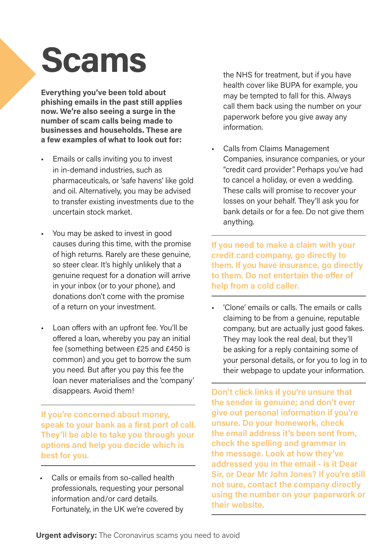## Scams

Everything you've been told about phishing emails in the past still applies now. We're also seeing a surge in the number of scam calls being made to businesses and households. These are a few examples of what to look out for:

- Emails or calls inviting you to invest in in-demand industries, such as pharmaceuticals, or 'safe havens' like gold and oil. Alternatively, you may be advised to transfer existing investments due to the uncertain stock market.
- You may be asked to invest in good causes during this time, with the promise of high returns. Rarely are these genuine, so steer clear. It's highly unlikely that a genuine request for a donation will arrive in your inbox (or to your phone), and donations don't come with the promise of a return on your investment.
- Loan offers with an upfront fee. You'll be offered a loan, whereby you pay an initial fee (something between £25 and £450 is common) and you get to borrow the sum you need. But after you pay this fee the loan never materialises and the 'company' disappears. Avoid them!

If you're concerned about money, speak to your bank as a first port of call. They'll be able to take you through your options and help you decide which is best for you.

Calls or emails from so-called health professionals, requesting your personal information and/or card details. Fortunately, in the UK we're covered by

the NHS for treatment, but if you have health cover like BUPA for example, you may be tempted to fall for this. Always call them back using the number on your paperwork before you give away any information.

• Calls from Claims Management Companies, insurance companies, or your "credit card provider". Perhaps you've had to cancel a holiday, or even a wedding. These calls will promise to recover your losses on your behalf. They'll ask you for bank details or for a fee. Do not give them anything.

If you need to make a claim with your credit card company, go directly to them. If you have insurance, go directly to them. Do not entertain the offer of help from a cold caller.

• 'Clone' emails or calls. The emails or calls claiming to be from a genuine, reputable company, but are actually just good fakes. They may look the real deal, but they'll be asking for a reply containing some of your personal details, or for you to log in to their webpage to update your information.

Don't click links if you're unsure that the sender is genuine; and don't ever give out personal information if you're unsure. Do your homework, check the email address it's been sent from, check the spelling and grammar in the message. Look at how they've addressed you in the email - is it Dear Sir, or Dear Mr John Jones? If you're still not sure, contact the company directly using the number on your paperwork or their website.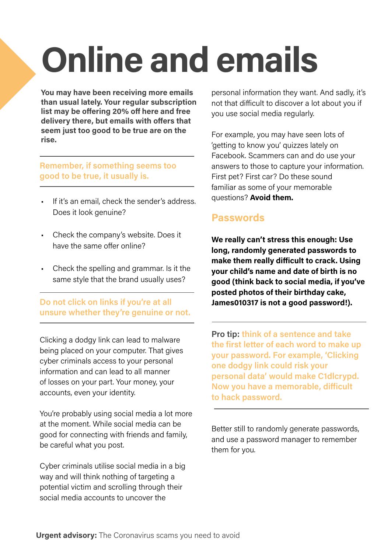# Online and emails

You may have been receiving more emails than usual lately. Your regular subscription list may be offering 20% off here and free delivery there, but emails with offers that seem just too good to be true are on the rise.

#### Remember, if something seems too good to be true, it usually is.

- If it's an email, check the sender's address. Does it look genuine?
- Check the company's website. Does it have the same offer online?
- Check the spelling and grammar. Is it the same style that the brand usually uses?

Do not click on links if you're at all unsure whether they're genuine or not.

Clicking a dodgy link can lead to malware being placed on your computer. That gives cyber criminals access to your personal information and can lead to all manner of losses on your part. Your money, your accounts, even your identity.

You're probably using social media a lot more at the moment. While social media can be good for connecting with friends and family, be careful what you post.

Cyber criminals utilise social media in a big way and will think nothing of targeting a potential victim and scrolling through their social media accounts to uncover the

personal information they want. And sadly, it's not that difficult to discover a lot about you if you use social media regularly.

For example, you may have seen lots of 'getting to know you' quizzes lately on Facebook. Scammers can and do use your answers to those to capture your information. First pet? First car? Do these sound familiar as some of your memorable questions? Avoid them.

#### Passwords

We really can't stress this enough: Use long, randomly generated passwords to make them really difficult to crack. Using your child's name and date of birth is no good (think back to social media, if you've posted photos of their birthday cake, James010317 is not a good password!).

Pro tip: think of a sentence and take the first letter of each word to make up your password. For example, 'Clicking one dodgy link could risk your personal data' would make C1dlcrypd. Now you have a memorable, difficult to hack password.

Better still to randomly generate passwords, and use a password manager to remember them for you.